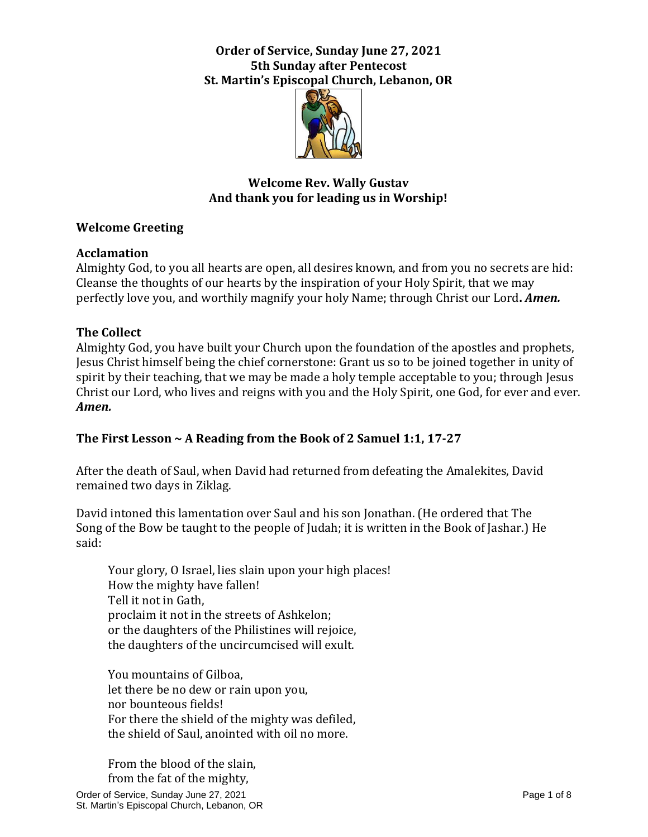### **Order of Service, Sunday June 27, 2021 5th Sunday after Pentecost St. Martin's Episcopal Church, Lebanon, OR**



### **Welcome Rev. Wally Gustav And thank you for leading us in Worship!**

### **Welcome Greeting**

### **Acclamation**

Almighty God, to you all hearts are open, all desires known, and from you no secrets are hid: Cleanse the thoughts of our hearts by the inspiration of your Holy Spirit, that we may perfectly love you, and worthily magnify your holy Name; through Christ our Lord**.** *Amen.*

### **The Collect**

Almighty God, you have built your Church upon the foundation of the apostles and prophets, Jesus Christ himself being the chief cornerstone: Grant us so to be joined together in unity of spirit by their teaching, that we may be made a holy temple acceptable to you; through Jesus Christ our Lord, who lives and reigns with you and the Holy Spirit, one God, for ever and ever. *Amen.*

### **The First Lesson ~ A Reading from the Book of 2 Samuel 1:1, 17-27**

After the death of Saul, when David had returned from defeating the Amalekites, David remained two days in Ziklag.

David intoned this lamentation over Saul and his son Jonathan. (He ordered that The Song of the Bow be taught to the people of Judah; it is written in the Book of Jashar.) He said:

Your glory, O Israel, lies slain upon your high places! How the mighty have fallen! Tell it not in Gath, proclaim it not in the streets of Ashkelon; or the daughters of the Philistines will rejoice, the daughters of the uncircumcised will exult.

You mountains of Gilboa, let there be no dew or rain upon you, nor bounteous fields! For there the shield of the mighty was defiled, the shield of Saul, anointed with oil no more.

From the blood of the slain, from the fat of the mighty,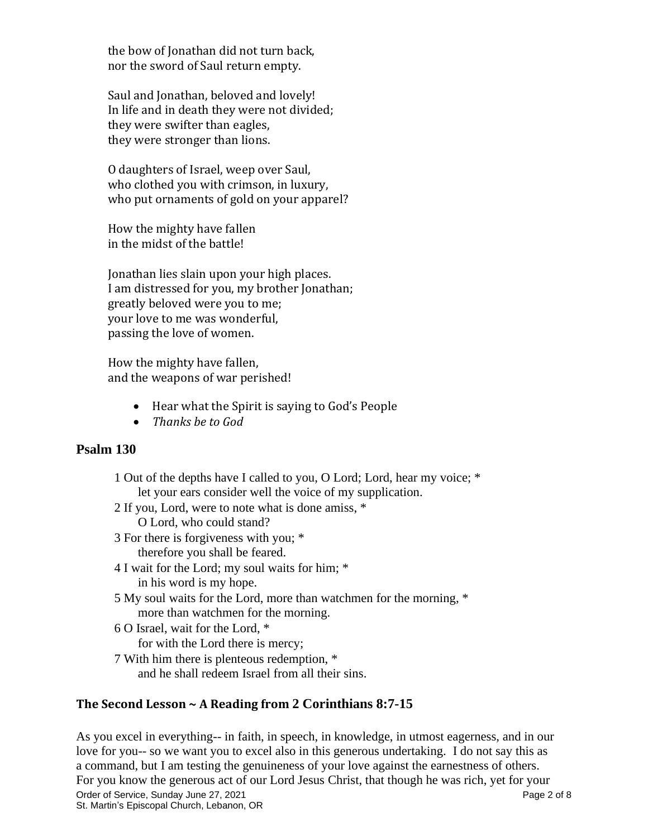the bow of Jonathan did not turn back, nor the sword of Saul return empty.

Saul and Jonathan, beloved and lovely! In life and in death they were not divided; they were swifter than eagles, they were stronger than lions.

O daughters of Israel, weep over Saul, who clothed you with crimson, in luxury, who put ornaments of gold on your apparel?

How the mighty have fallen in the midst of the battle!

Jonathan lies slain upon your high places. I am distressed for you, my brother Jonathan; greatly beloved were you to me; your love to me was wonderful, passing the love of women.

How the mighty have fallen, and the weapons of war perished!

- Hear what the Spirit is saying to God's People
- *Thanks be to God*

### **Psalm 130**

- 1 Out of the depths have I called to you, O Lord; Lord, hear my voice; \* let your ears consider well the voice of my supplication.
- 2 If you, Lord, were to note what is done amiss, \* O Lord, who could stand?
- 3 For there is forgiveness with you; \* therefore you shall be feared.
- 4 I wait for the Lord; my soul waits for him; \* in his word is my hope.
- 5 My soul waits for the Lord, more than watchmen for the morning, \* more than watchmen for the morning.
- 6 O Israel, wait for the Lord, \*
	- for with the Lord there is mercy;
- 7 With him there is plenteous redemption, \*

and he shall redeem Israel from all their sins.

### **The Second Lesson ~ A Reading from 2 Corinthians 8:7-15**

Order of Service, Sunday June 27, 2021 Page 2 of 8 St. Martin's Episcopal Church, Lebanon, OR As you excel in everything-- in faith, in speech, in knowledge, in utmost eagerness, and in our love for you-- so we want you to excel also in this generous undertaking. I do not say this as a command, but I am testing the genuineness of your love against the earnestness of others. For you know the generous act of our Lord Jesus Christ, that though he was rich, yet for your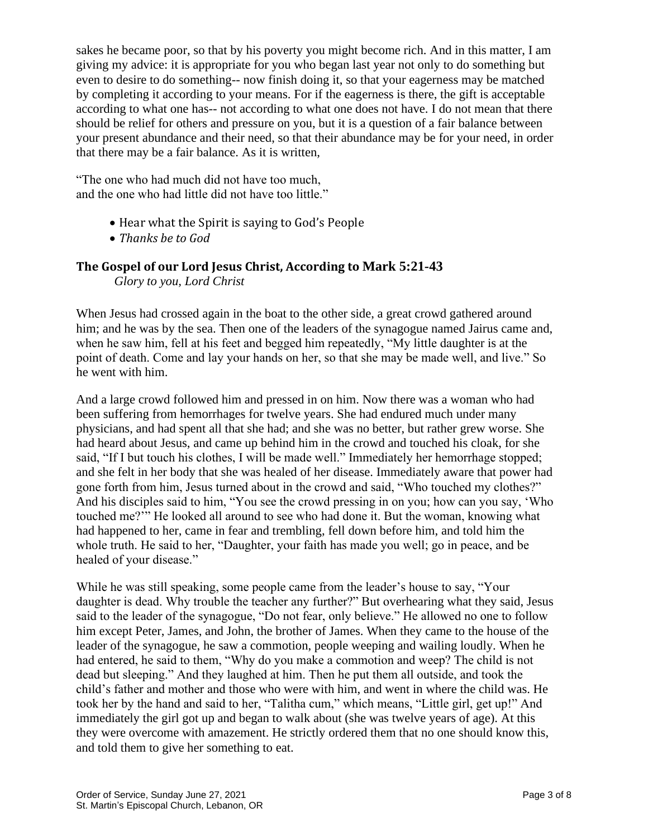sakes he became poor, so that by his poverty you might become rich. And in this matter, I am giving my advice: it is appropriate for you who began last year not only to do something but even to desire to do something-- now finish doing it, so that your eagerness may be matched by completing it according to your means. For if the eagerness is there, the gift is acceptable according to what one has-- not according to what one does not have. I do not mean that there should be relief for others and pressure on you, but it is a question of a fair balance between your present abundance and their need, so that their abundance may be for your need, in order that there may be a fair balance. As it is written,

"The one who had much did not have too much, and the one who had little did not have too little."

- Hear what the Spirit is saying to God's People
- *Thanks be to God*

# **The Gospel of our Lord Jesus Christ, According to Mark 5:21-43**

*Glory to you, Lord Christ*

When Jesus had crossed again in the boat to the other side, a great crowd gathered around him; and he was by the sea. Then one of the leaders of the synagogue named Jairus came and, when he saw him, fell at his feet and begged him repeatedly, "My little daughter is at the point of death. Come and lay your hands on her, so that she may be made well, and live." So he went with him.

And a large crowd followed him and pressed in on him. Now there was a woman who had been suffering from hemorrhages for twelve years. She had endured much under many physicians, and had spent all that she had; and she was no better, but rather grew worse. She had heard about Jesus, and came up behind him in the crowd and touched his cloak, for she said, "If I but touch his clothes, I will be made well." Immediately her hemorrhage stopped; and she felt in her body that she was healed of her disease. Immediately aware that power had gone forth from him, Jesus turned about in the crowd and said, "Who touched my clothes?" And his disciples said to him, "You see the crowd pressing in on you; how can you say, 'Who touched me?'" He looked all around to see who had done it. But the woman, knowing what had happened to her, came in fear and trembling, fell down before him, and told him the whole truth. He said to her, "Daughter, your faith has made you well; go in peace, and be healed of your disease."

While he was still speaking, some people came from the leader's house to say, "Your daughter is dead. Why trouble the teacher any further?" But overhearing what they said, Jesus said to the leader of the synagogue, "Do not fear, only believe." He allowed no one to follow him except Peter, James, and John, the brother of James. When they came to the house of the leader of the synagogue, he saw a commotion, people weeping and wailing loudly. When he had entered, he said to them, "Why do you make a commotion and weep? The child is not dead but sleeping." And they laughed at him. Then he put them all outside, and took the child's father and mother and those who were with him, and went in where the child was. He took her by the hand and said to her, "Talitha cum," which means, "Little girl, get up!" And immediately the girl got up and began to walk about (she was twelve years of age). At this they were overcome with amazement. He strictly ordered them that no one should know this, and told them to give her something to eat.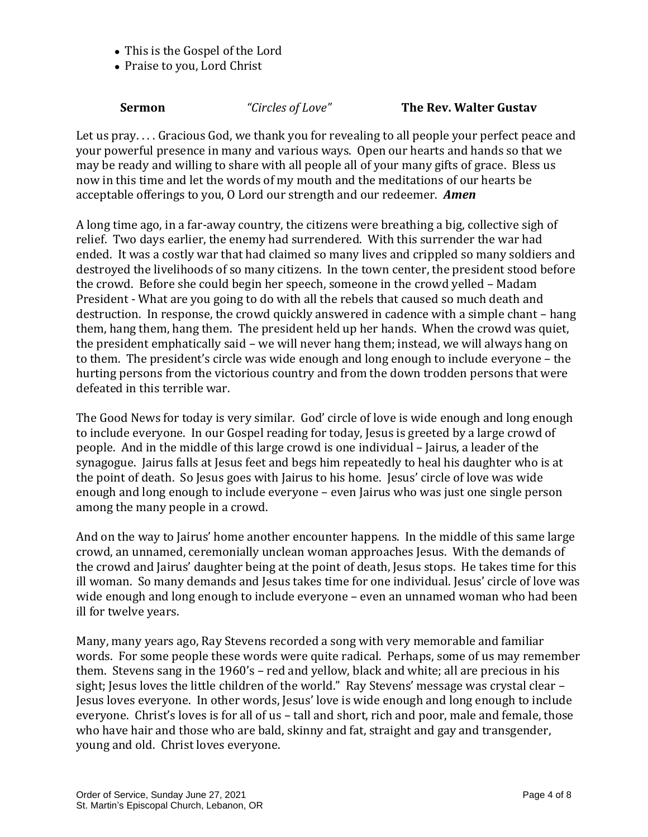- This is the Gospel of the Lord
- Praise to you, Lord Christ

**Sermon** *"Circles of Love"* **The Rev. Walter Gustav**

Let us pray.... Gracious God, we thank you for revealing to all people your perfect peace and your powerful presence in many and various ways. Open our hearts and hands so that we may be ready and willing to share with all people all of your many gifts of grace. Bless us now in this time and let the words of my mouth and the meditations of our hearts be acceptable offerings to you, O Lord our strength and our redeemer. *Amen*

A long time ago, in a far-away country, the citizens were breathing a big, collective sigh of relief. Two days earlier, the enemy had surrendered. With this surrender the war had ended. It was a costly war that had claimed so many lives and crippled so many soldiers and destroyed the livelihoods of so many citizens. In the town center, the president stood before the crowd. Before she could begin her speech, someone in the crowd yelled – Madam President - What are you going to do with all the rebels that caused so much death and destruction. In response, the crowd quickly answered in cadence with a simple chant – hang them, hang them, hang them. The president held up her hands. When the crowd was quiet, the president emphatically said – we will never hang them; instead, we will always hang on to them. The president's circle was wide enough and long enough to include everyone – the hurting persons from the victorious country and from the down trodden persons that were defeated in this terrible war.

The Good News for today is very similar. God' circle of love is wide enough and long enough to include everyone. In our Gospel reading for today, Jesus is greeted by a large crowd of people. And in the middle of this large crowd is one individual – Jairus, a leader of the synagogue. Jairus falls at Jesus feet and begs him repeatedly to heal his daughter who is at the point of death. So Jesus goes with Jairus to his home. Jesus' circle of love was wide enough and long enough to include everyone – even Jairus who was just one single person among the many people in a crowd.

And on the way to Jairus' home another encounter happens. In the middle of this same large crowd, an unnamed, ceremonially unclean woman approaches Jesus. With the demands of the crowd and Jairus' daughter being at the point of death, Jesus stops. He takes time for this ill woman. So many demands and Jesus takes time for one individual. Jesus' circle of love was wide enough and long enough to include everyone – even an unnamed woman who had been ill for twelve years.

Many, many years ago, Ray Stevens recorded a song with very memorable and familiar words. For some people these words were quite radical. Perhaps, some of us may remember them. Stevens sang in the 1960's – red and yellow, black and white; all are precious in his sight; Jesus loves the little children of the world." Ray Stevens' message was crystal clear – Jesus loves everyone. In other words, Jesus' love is wide enough and long enough to include everyone. Christ's loves is for all of us – tall and short, rich and poor, male and female, those who have hair and those who are bald, skinny and fat, straight and gay and transgender, young and old. Christ loves everyone.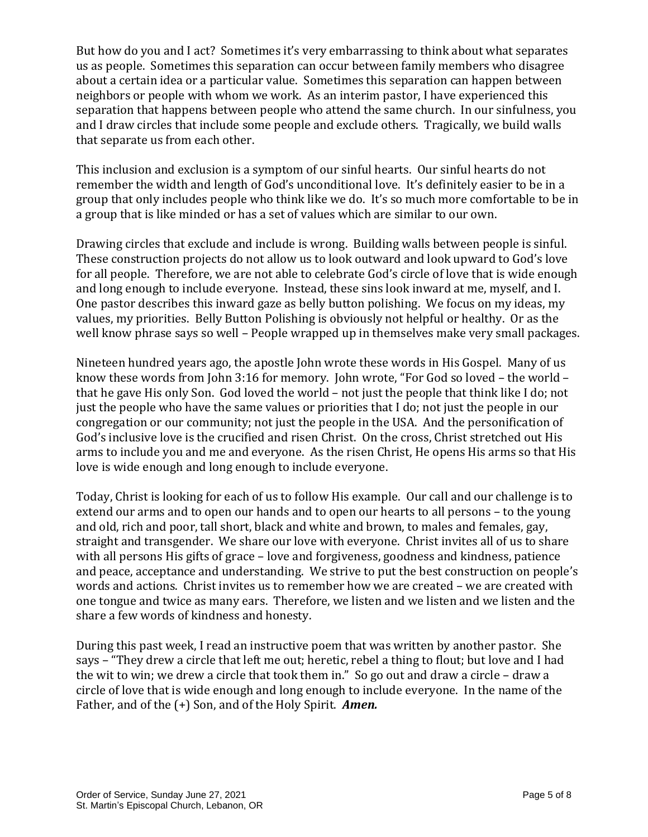But how do you and I act? Sometimes it's very embarrassing to think about what separates us as people. Sometimes this separation can occur between family members who disagree about a certain idea or a particular value. Sometimes this separation can happen between neighbors or people with whom we work. As an interim pastor, I have experienced this separation that happens between people who attend the same church. In our sinfulness, you and I draw circles that include some people and exclude others. Tragically, we build walls that separate us from each other.

This inclusion and exclusion is a symptom of our sinful hearts. Our sinful hearts do not remember the width and length of God's unconditional love. It's definitely easier to be in a group that only includes people who think like we do. It's so much more comfortable to be in a group that is like minded or has a set of values which are similar to our own.

Drawing circles that exclude and include is wrong. Building walls between people is sinful. These construction projects do not allow us to look outward and look upward to God's love for all people. Therefore, we are not able to celebrate God's circle of love that is wide enough and long enough to include everyone. Instead, these sins look inward at me, myself, and I. One pastor describes this inward gaze as belly button polishing. We focus on my ideas, my values, my priorities. Belly Button Polishing is obviously not helpful or healthy. Or as the well know phrase says so well – People wrapped up in themselves make very small packages.

Nineteen hundred years ago, the apostle John wrote these words in His Gospel. Many of us know these words from John 3:16 for memory. John wrote, "For God so loved – the world – that he gave His only Son. God loved the world – not just the people that think like I do; not just the people who have the same values or priorities that I do; not just the people in our congregation or our community; not just the people in the USA. And the personification of God's inclusive love is the crucified and risen Christ. On the cross, Christ stretched out His arms to include you and me and everyone. As the risen Christ, He opens His arms so that His love is wide enough and long enough to include everyone.

Today, Christ is looking for each of us to follow His example. Our call and our challenge is to extend our arms and to open our hands and to open our hearts to all persons – to the young and old, rich and poor, tall short, black and white and brown, to males and females, gay, straight and transgender. We share our love with everyone. Christ invites all of us to share with all persons His gifts of grace – love and forgiveness, goodness and kindness, patience and peace, acceptance and understanding. We strive to put the best construction on people's words and actions. Christ invites us to remember how we are created – we are created with one tongue and twice as many ears. Therefore, we listen and we listen and we listen and the share a few words of kindness and honesty.

During this past week, I read an instructive poem that was written by another pastor. She says – "They drew a circle that left me out; heretic, rebel a thing to flout; but love and I had the wit to win; we drew a circle that took them in." So go out and draw a circle – draw a circle of love that is wide enough and long enough to include everyone. In the name of the Father, and of the (+) Son, and of the Holy Spirit. *Amen.*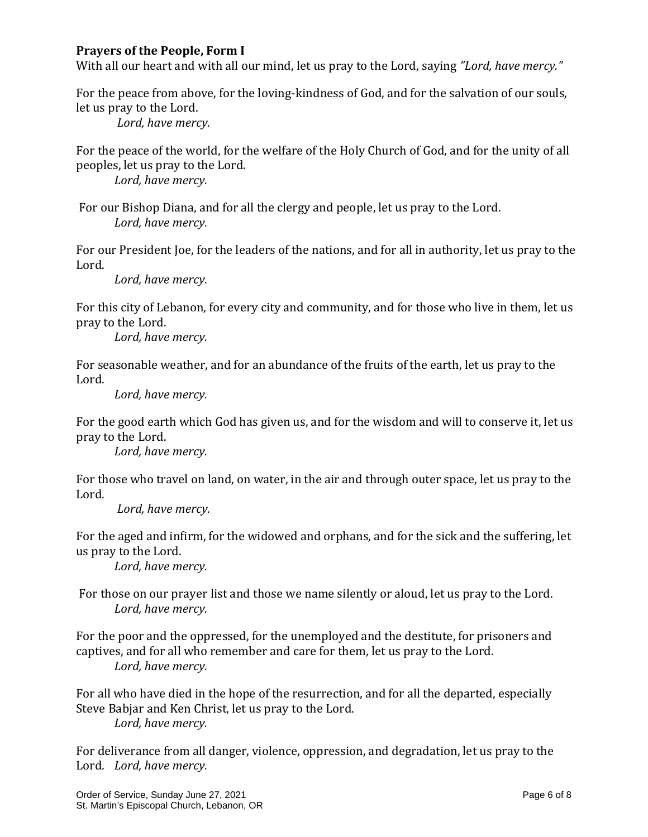### **Prayers of the People, Form I**

With all our heart and with all our mind, let us pray to the Lord, saying *"Lord, have mercy."*

For the peace from above, for the loving-kindness of God, and for the salvation of our souls, let us pray to the Lord.

*Lord, have mercy.*

For the peace of the world, for the welfare of the Holy Church of God, and for the unity of all peoples, let us pray to the Lord.

*Lord, have mercy.*

For our Bishop Diana, and for all the clergy and people, let us pray to the Lord. *Lord, have mercy.*

For our President Joe, for the leaders of the nations, and for all in authority, let us pray to the Lord.

*Lord, have mercy.*

For this city of Lebanon, for every city and community, and for those who live in them, let us pray to the Lord.

*Lord, have mercy.*

For seasonable weather, and for an abundance of the fruits of the earth, let us pray to the Lord.

*Lord, have mercy.*

For the good earth which God has given us, and for the wisdom and will to conserve it, let us pray to the Lord.

*Lord, have mercy.*

For those who travel on land, on water, in the air and through outer space, let us pray to the Lord.

*Lord, have mercy.*

For the aged and infirm, for the widowed and orphans, and for the sick and the suffering, let us pray to the Lord.

*Lord, have mercy.*

For those on our prayer list and those we name silently or aloud, let us pray to the Lord. *Lord, have mercy.*

For the poor and the oppressed, for the unemployed and the destitute, for prisoners and captives, and for all who remember and care for them, let us pray to the Lord. *Lord, have mercy.*

For all who have died in the hope of the resurrection, and for all the departed, especially Steve Babjar and Ken Christ, let us pray to the Lord. *Lord, have mercy.*

For deliverance from all danger, violence, oppression, and degradation, let us pray to the Lord. *Lord, have mercy.*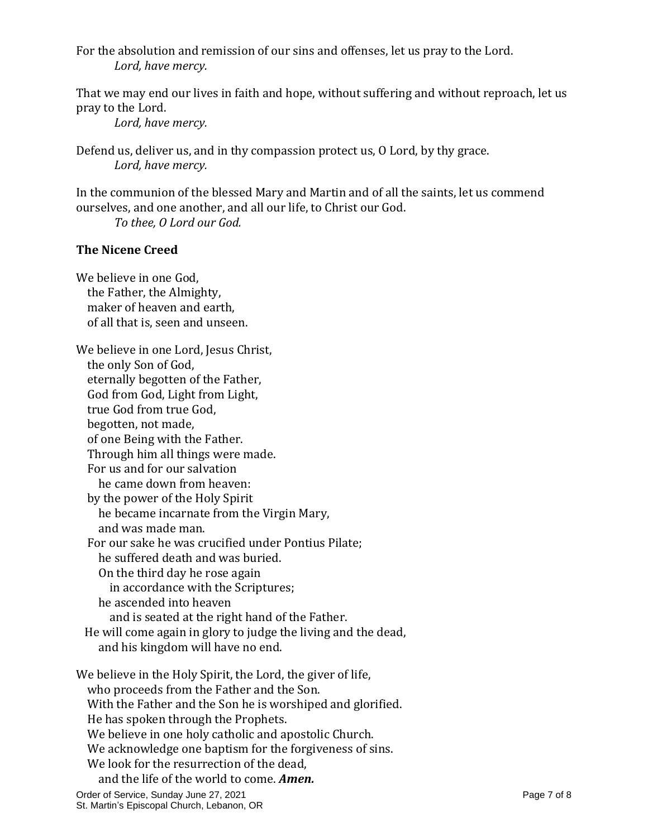For the absolution and remission of our sins and offenses, let us pray to the Lord. *Lord, have mercy.*

That we may end our lives in faith and hope, without suffering and without reproach, let us pray to the Lord.

*Lord, have mercy.*

Defend us, deliver us, and in thy compassion protect us, O Lord, by thy grace. *Lord, have mercy.*

In the communion of the blessed Mary and Martin and of all the saints, let us commend ourselves, and one another, and all our life, to Christ our God. *To thee, O Lord our God.*

### **The Nicene Creed**

We believe in one God, the Father, the Almighty, maker of heaven and earth, of all that is, seen and unseen.

Order of Service, Sunday June 27, 2021 **Page 7 of 8** and 2011 12:00 Page 7 of 8 We believe in one Lord, Jesus Christ, the only Son of God, eternally begotten of the Father, God from God, Light from Light, true God from true God, begotten, not made, of one Being with the Father. Through him all things were made. For us and for our salvation he came down from heaven: by the power of the Holy Spirit he became incarnate from the Virgin Mary, and was made man. For our sake he was crucified under Pontius Pilate; he suffered death and was buried. On the third day he rose again in accordance with the Scriptures; he ascended into heaven and is seated at the right hand of the Father. He will come again in glory to judge the living and the dead, and his kingdom will have no end. We believe in the Holy Spirit, the Lord, the giver of life, who proceeds from the Father and the Son. With the Father and the Son he is worshiped and glorified. He has spoken through the Prophets. We believe in one holy catholic and apostolic Church. We acknowledge one baptism for the forgiveness of sins. We look for the resurrection of the dead, and the life of the world to come. *Amen.*